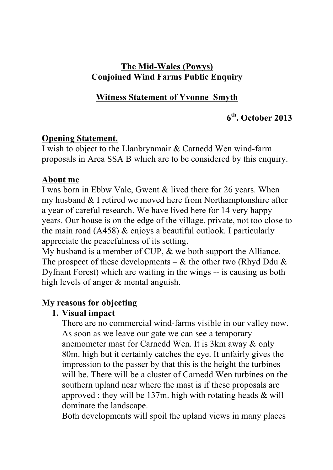## **The Mid-Wales (Powys) Conjoined Wind Farms Public Enquiry**

# **Witness Statement of Yvonne Smyth**

# **6th. October 2013**

### **Opening Statement.**

I wish to object to the Llanbrynmair & Carnedd Wen wind-farm proposals in Area SSA B which are to be considered by this enquiry.

#### **About me**

I was born in Ebbw Vale, Gwent & lived there for 26 years. When my husband & I retired we moved here from Northamptonshire after a year of careful research. We have lived here for 14 very happy years. Our house is on the edge of the village, private, not too close to the main road (A458) & enjoys a beautiful outlook. I particularly appreciate the peacefulness of its setting.

My husband is a member of CUP, & we both support the Alliance. The prospect of these developments –  $\&$  the other two (Rhyd Ddu  $\&$ Dyfnant Forest) which are waiting in the wings -- is causing us both high levels of anger & mental anguish.

## **My reasons for objecting**

#### **1. Visual impact**

There are no commercial wind-farms visible in our valley now. As soon as we leave our gate we can see a temporary anemometer mast for Carnedd Wen. It is 3km away & only 80m. high but it certainly catches the eye. It unfairly gives the impression to the passer by that this is the height the turbines will be. There will be a cluster of Carnedd Wen turbines on the southern upland near where the mast is if these proposals are approved : they will be  $137m$ . high with rotating heads  $&$  will dominate the landscape.

Both developments will spoil the upland views in many places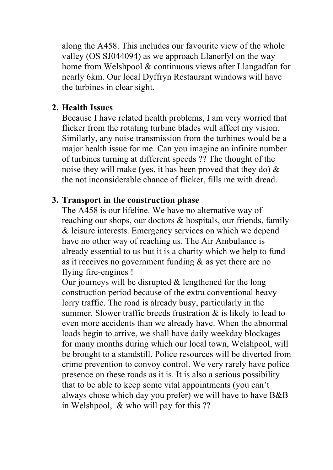along the A458. This includes our favourite view of the whole valley (OS SJ044094) as we approach Llanerfyl on the way home from Welshpool & continuous views after Llangadfan for nearly 6km. Our local Dyffryn Restaurant windows will have the turbines in clear sight.

#### **2. Health Issues**

Because I have related health problems, I am very worried that flicker from the rotating turbine blades will affect my vision. Similarly, any noise transmission from the turbines would be a major health issue for me. Can you imagine an infinite number of turbines turning at different speeds ?? The thought of the noise they will make (yes, it has been proved that they do)  $\&$ the not inconsiderable chance of flicker, fills me with dread.

#### **3. Transport in the construction phase**

The A458 is our lifeline. We have no alternative way of reaching our shops, our doctors & hospitals, our friends, family & leisure interests. Emergency services on which we depend have no other way of reaching us. The Air Ambulance is already essential to us but it is a charity which we help to fund as it receives no government funding & as yet there are no flying fire-engines !

Our journeys will be disrupted  $&$  lengthened for the long construction period because of the extra conventional heavy lorry traffic. The road is already busy, particularly in the summer. Slower traffic breeds frustration  $\&$  is likely to lead to even more accidents than we already have. When the abnormal loads begin to arrive, we shall have daily weekday blockages for many months during which our local town, Welshpool, will be brought to a standstill. Police resources will be diverted from crime prevention to convoy control. We very rarely have police presence on these roads as it is. It is also a serious possibility that to be able to keep some vital appointments (you can't always chose which day you prefer) we will have to have B&B in Welshpool, & who will pay for this ??